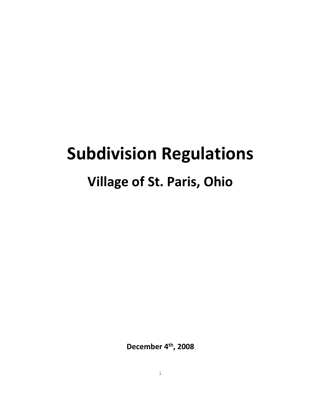# **Subdivision Regulations Village of St. Paris, Ohio**

**December 4th, 2008**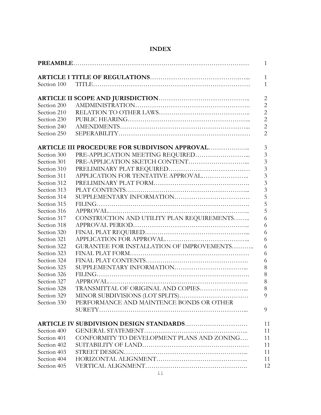| Section 100 |                                               |
|-------------|-----------------------------------------------|
|             |                                               |
|             |                                               |
| Section 200 |                                               |
| Section 210 |                                               |
| Section 230 |                                               |
| Section 240 |                                               |
| Section 250 |                                               |
|             | ARTICLE III PROCEDURE FOR SUBDIVISON APPROVAL |
| Section 300 |                                               |
| Section 301 |                                               |
| Section 310 |                                               |
| Section 311 |                                               |
| Section 312 |                                               |
| Section 313 |                                               |
| Section 314 |                                               |
| Section 315 |                                               |
| Section 316 |                                               |
| Section 317 | CONSTRUCTION AND UTILITY PLAN REQUIREMENTS    |
| Section 318 |                                               |
| Section 320 |                                               |
| Section 321 |                                               |
| Section 322 | GURANTEE FOR INSTALLATION OF IMPROVEMENTS     |
| Section 323 |                                               |
| Section 324 |                                               |
| Section 325 |                                               |
| Section 326 |                                               |
| Section 327 |                                               |
| Section 328 |                                               |
| Section 329 |                                               |
| Section 330 | PERFORMANCE AND MAINTENCE BONDS OR OTHER      |
|             |                                               |
|             | ARTICLE IV SUBDIVISION DESIGN STANDARDS       |
| Section 400 |                                               |
| Section 401 | CONFORMITY TO DEVELOPMENT PLANS AND ZONING    |
| Section 402 |                                               |
| Section 403 |                                               |
| Section 404 |                                               |
| Section 405 |                                               |

# **INDEX**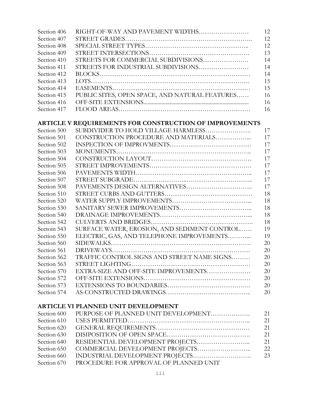| Section 406 | RIGHT-OF-WAY AND PAVEMENT WIDTHS                        | 12 |
|-------------|---------------------------------------------------------|----|
| Section 407 |                                                         | 12 |
| Section 408 |                                                         | 12 |
| Seciton 409 |                                                         | 13 |
| Section 410 | STREETS FOR COMMERCIAL SUBDIVISIONS                     | 14 |
| Section 411 | STREETS FOR INDUSTRIAL SUBDIVISIONS                     | 14 |
| Section 412 |                                                         | 14 |
| Section 413 |                                                         | 15 |
| Section 414 |                                                         | 15 |
| Section 415 | PUBLIC SITES, OPEN SPACE, AND NATURAL FEATURES          | 16 |
| Section 416 |                                                         | 16 |
| Section 417 |                                                         | 16 |
|             |                                                         |    |
|             | ARTICLE V REQUIREMENTS FOR CONSTRUCTION OF IMPROVEMENTS |    |
| Section 500 | SUBDIVIDER TO HOLD VILLAGE HARMLESS                     | 17 |
| Section 501 | CONSTRUCTION PROCEDURE AND MATERIALS                    | 17 |
| Section 502 |                                                         | 17 |
| Section 503 |                                                         | 17 |
| Section 504 |                                                         | 17 |
| Section 505 |                                                         | 17 |
| Section 506 |                                                         | 17 |
| Section 507 |                                                         | 17 |
| Section 508 |                                                         | 17 |
| Section 510 |                                                         | 18 |
| Section 520 |                                                         | 18 |
| Section 530 |                                                         | 18 |
| Section 540 |                                                         | 18 |
| Section 542 |                                                         | 18 |
| Sectoin 543 | SURFACE WATER, EROSION, AND SEDIMENT CONTROL            | 19 |
| Section 550 | ELECTRIC, GAS, AND TELEPHONE IMPROVEMENTS               | 19 |
| Section 560 |                                                         | 20 |
| Section 561 |                                                         | 20 |
| Section 562 | TRAFFIC CONTROL SIGNS AND STREET NAME SIGNS             | 20 |
| Section 563 |                                                         | 20 |
| Section 570 | EXTRA-SIZE AND OFF-SITE IMPROVEMENTS                    | 20 |
| Section 572 |                                                         | 20 |
| Section 573 |                                                         | 20 |
| Section 574 |                                                         | 20 |
|             |                                                         |    |
|             | ARTICLE VI PLANNED UNIT DEVELOPMENT                     |    |
| Section 600 | PURPOSE OF PLANNED UNIT DEVELOPMENT                     | 21 |
| Section 610 |                                                         | 21 |
| Section 620 |                                                         | 21 |
| Section 630 |                                                         | 21 |
| Section 640 |                                                         | 21 |
| Section 650 |                                                         | 22 |
| Section 660 | INDUSTRIAL DEVELOPMENT PROJECTS                         | 23 |

Section 670 PROCEDURE FOR APPROVAL OF PLANNED UNIT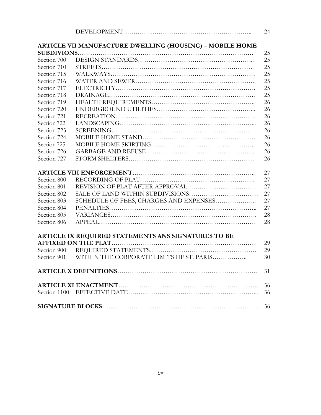|             |                                                          | 24 |
|-------------|----------------------------------------------------------|----|
|             | ARTICLE VII MANUFACTURE DWELLING (HOUSING) - MOBILE HOME |    |
|             |                                                          | 25 |
| Section 700 |                                                          | 25 |
| Section 710 |                                                          | 25 |
| Section 715 |                                                          | 25 |
| Section 716 |                                                          | 25 |
| Section 717 |                                                          | 25 |
| Section 718 |                                                          | 25 |
| Section 719 |                                                          | 26 |
| Section 720 |                                                          | 26 |
| Section 721 |                                                          | 26 |
| Section 722 |                                                          | 26 |
| Section 723 |                                                          | 26 |
| Section 724 |                                                          | 26 |
| Section 725 |                                                          | 26 |
| Section 726 |                                                          | 26 |
| Section 727 |                                                          | 26 |
|             |                                                          | 27 |
| Section 800 |                                                          | 27 |
| Section 801 |                                                          | 27 |
| Section 802 |                                                          | 27 |
| Section 803 | SCHEDULE OF FEES, CHARGES AND EXPENSES                   | 27 |
| Section 804 |                                                          | 27 |
| Section 805 |                                                          | 28 |
| Section 806 |                                                          | 28 |
|             | ARTICLE IX REQUIRED STATEMENTS ANS SIGNATURES TO BE      |    |
|             |                                                          | 29 |
| Section 900 |                                                          | 29 |
| Section 901 | WITHIN THE CORPORATE LIMITS OF ST. PARIS                 | 30 |
|             |                                                          | 31 |
|             |                                                          | 36 |
|             |                                                          | 36 |
|             |                                                          | 36 |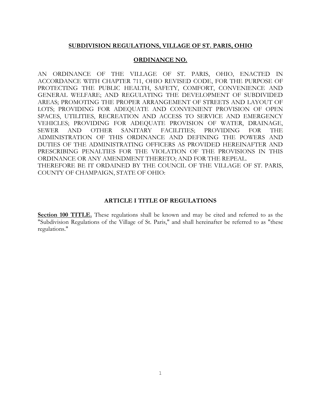#### **SUBDIVISION REGULATIONS, VILLAGE OF ST. PARIS, OHIO**

#### **ORDINANCE NO.**

AN ORDINANCE OF THE VILLAGE OF ST. PARIS, OHIO, ENACTED IN ACCORDANCE WITH CHAPTER 711, OHIO REVISED CODE, FOR THE PURPOSE OF PROTECTING THE PUBLIC HEALTH, SAFETY, COMFORT, CONVENIENCE AND GENERAL WELFARE; AND REGULATING THE DEVELOPMENT OF SUBDIVIDED AREAS; PROMOTING THE PROPER ARRANGEMENT OF STREETS AND LAYOUT OF LOTS; PROVIDING FOR ADEQUATE AND CONVENIENT PROVISION OF OPEN SPACES, UTILITIES, RECREATION AND ACCESS TO SERVICE AND EMERGENCY VEHICLES; PROVIDING FOR ADEQUATE PROVISION OF WATER, DRAINAGE, SEWER AND OTHER SANITARY FACILITIES; PROVIDING FOR THE ADMINISTRATION OF THIS ORDINANCE AND DEFINING THE POWERS AND DUTIES OF THE ADMINISTRATING OFFICERS AS PROVIDED HEREINAFTER AND PRESCRIBING PENALTIES FOR THE VIOLATION OF THE PROVISIONS IN THIS ORDINANCE OR ANY AMENDMENT THERETO; AND FOR THE REPEAL. THEREFORE BE IT ORDAINED BY THE COUNCIL OF THE VILLAGE OF ST. PARIS, COUNTY OF CHAMPAIGN, STATE OF OHIO:

#### **ARTICLE I TITLE OF REGULATIONS**

**Section 100 TITLE.** These regulations shall be known and may be cited and referred to as the "Subdivision Regulations of the Village of St. Paris," and shall hereinafter be referred to as "these regulations."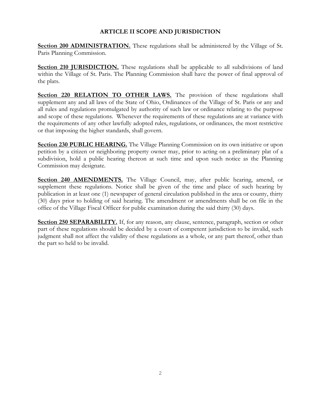## **ARTICLE II SCOPE AND JURISDICTION**

**Section 200 ADMINISTRATION.** These regulations shall be administered by the Village of St. Paris Planning Commission.

**Section 210 JURISDICTION.** These regulations shall be applicable to all subdivisions of land within the Village of St. Paris. The Planning Commission shall have the power of final approval of the plats.

**Section 220 RELATION TO OTHER LAWS.** The provision of these regulations shall supplement any and all laws of the State of Ohio, Ordinances of the Village of St. Paris or any and all rules and regulations promulgated by authority of such law or ordinance relating to the purpose and scope of these regulations. Whenever the requirements of these regulations are at variance with the requirements of any other lawfully adopted rules, regulations, or ordinances, the most restrictive or that imposing the higher standards, shall govern.

**Section 230 PUBLIC HEARING.** The Village Planning Commission on its own initiative or upon petition by a citizen or neighboring property owner may, prior to acting on a preliminary plat of a subdivision, hold a public hearing thereon at such time and upon such notice as the Planning Commission may designate.

**Section 240 AMENDMENTS.** The Village Council, may, after public hearing, amend, or supplement these regulations. Notice shall be given of the time and place of such hearing by publication in at least one (1) newspaper of general circulation published in the area or county, thirty (30) days prior to holding of said hearing. The amendment or amendments shall be on file in the office of the Village Fiscal Officer for public examination during the said thirty (30) days.

Section 250 SEPARABILITY. If, for any reason, any clause, sentence, paragraph, section or other part of these regulations should be decided by a court of competent jurisdiction to be invalid, such judgment shall not affect the validity of these regulations as a whole, or any part thereof, other than the part so held to be invalid.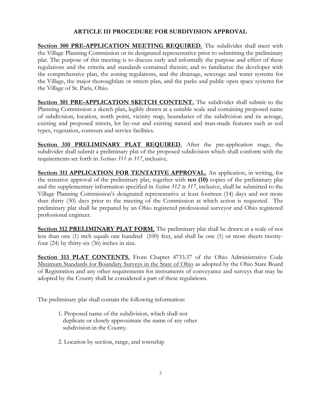## **ARTICLE III PROCEDURE FOR SUBDIVISION APPROVAL**

**Section 300 PRE-APPLICATION MEETING REQUIRED.** The subdivider shall meet with the Village Planning Commission or its designated representative prior to submitting the preliminary plat. The purpose of this meeting is to discuss early and informally the purpose and effect of these regulations and the criteria and standards contained therein; and to familiarize the developer with the comprehensive plan, the zoning regulations, and the drainage, sewerage and water systems for the Village, the major thoroughfare or streets plan, and the parks and public open space systems for the Village of St. Paris, Ohio.

**Section 301 PRE-APPLICATION SKETCH CONTENT.** The subdivider shall submit to the Planning Commission a sketch plan, legibly drawn at a suitable scale and containing proposed name of subdivision, location, north point, vicinity map, boundaries of the subdivision and its acreage, existing and proposed streets, lot lay-out and existing natural and man-made features such as soil types, vegetation, contours and service facilities.

**Section 310 PRELIMINARY PLAT REQUIRED**. After the pre-application stage, the subdivider shall submit a preliminary plat of the proposed subdivision which shall conform with the requirements set forth in *Sections 311 to 317*, inclusive.

**Section 311 APPLICATION FOR TENTATIVE APPROVAL.** An application, in writing, for the tentative approval of the preliminary plat, together with **ten (10)** copies of the preliminary plat and the supplementary information specified in *Section 312 to 317*, inclusive, shall be submitted to the Village Planning Commission's designated representative at least fourteen (14) days and not more than thirty (30) days prior to the meeting of the Commission at which action is requested. The preliminary plat shall be prepared by an Ohio registered professional surveyor and Ohio registered professional engineer.

**Section 312 PRELIMINARY PLAT FORM.** The preliminary plat shall be drawn at a scale of not less than one (1) inch equals one hundred (100) feet, and shall be one (1) or more sheets twentyfour (24) by thirty-six (36) inches in size.

**Section 313 PLAT CONTENTS.** From Chapter 4733.37 of the Ohio Administrative Code Minimum Standards for Boundary Surveys in the State of Ohio as adopted by the Ohio State Board of Registration and any other requirements for instruments of conveyance and surveys that may be adopted by the County shall be considered a part of these regulations.

The preliminary plat shall contain the following information:

- 1. Proposed name of the subdivision, which shall not duplicate or closely approximate the name of any other subdivision in the County.
- 2. Location by section, range, and township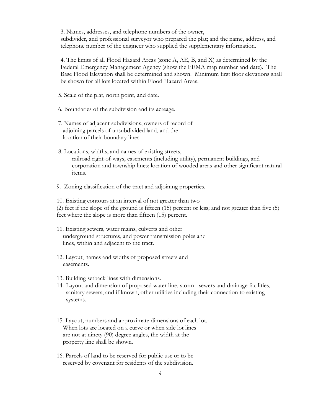3. Names, addresses, and telephone numbers of the owner,

subdivider, and professional surveyor who prepared the plat; and the name, address, and telephone number of the engineer who supplied the supplementary information.

4. The limits of all Flood Hazard Areas (zone A, AE, B, and X) as determined by the Federal Emergency Management Agency (show the FEMA map number and date). The Base Flood Elevation shall be determined and shown. Minimum first floor elevations shall be shown for all lots located within Flood Hazard Areas.

- 5. Scale of the plat, north point, and date.
- 6. Boundaries of the subdivision and its acreage.
- 7. Names of adjacent subdivisions, owners of record of adjoining parcels of unsubdivided land, and the location of their boundary lines.
- 8. Locations, widths, and names of existing streets, railroad right-of-ways, easements (including utility), permanent buildings, and corporation and township lines; location of wooded areas and other significant natural items.
- 9. Zoning classification of the tract and adjoining properties.

10. Existing contours at an interval of not greater than two (2) feet if the slope of the ground is fifteen (15) percent or less; and not greater than five (5) feet where the slope is more than fifteen (15) percent.

- 11. Existing sewers, water mains, culverts and other underground structures, and power transmission poles and lines, within and adjacent to the tract.
- 12. Layout, names and widths of proposed streets and easements.
- 13. Building setback lines with dimensions.
- 14. Layout and dimension of proposed water line, storm sewers and drainage facilities, sanitary sewers, and if known, other utilities including their connection to existing systems.
- 15. Layout, numbers and approximate dimensions of each lot. When lots are located on a curve or when side lot lines are not at ninety (90) degree angles, the width at the property line shall be shown.
- 16. Parcels of land to be reserved for public use or to be reserved by covenant for residents of the subdivision.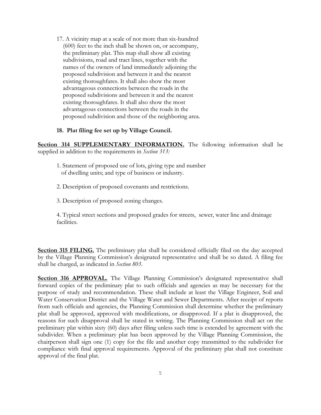17. A vicinity map at a scale of not more than six-hundred (600) feet to the inch shall be shown on, or accompany, the preliminary plat. This map shall show all existing subdivisions, road and tract lines, together with the names of the owners of land immediately adjoining the proposed subdivision and between it and the nearest existing thoroughfares. It shall also show the most advantageous connections between the roads in the proposed subdivisions and between it and the nearest existing thoroughfares. It shall also show the most advantageous connections between the roads in the proposed subdivision and those of the neighboring area.

#### **18. Plat filing fee set up by Village Council.**

**Section 314 SUPPLEMENTARY INFORMATION.** The following information shall be supplied in addition to the requirements in *Section 313:*

- 1. Statement of proposed use of lots, giving type and number of dwelling units; and type of business or industry.
- 2. Description of proposed covenants and restrictions.
- 3. Description of proposed zoning changes.

4. Typical street sections and proposed grades for streets, sewer, water line and drainage facilities.

**Section 315 FILING.** The preliminary plat shall be considered officially filed on the day accepted by the Village Planning Commission's designated representative and shall be so dated. A filing fee shall be charged, as indicated in *Section 803*.

**Section 316 APPROVAL.** The Village Planning Commission's designated representative shall forward copies of the preliminary plat to such officials and agencies as may be necessary for the purpose of study and recommendation. These shall include at least the Village Engineer, Soil and Water Conservation District and the Village Water and Sewer Departments. After receipt of reports from such officials and agencies, the Planning Commission shall determine whether the preliminary plat shall be approved, approved with modifications, or disapproved. If a plat is disapproved, the reasons for such disapproval shall be stated in writing. The Planning Commission shall act on the preliminary plat within sixty (60) days after filing unless such time is extended by agreement with the subdivider. When a preliminary plat has been approved by the Village Planning Commission, the chairperson shall sign one (1) copy for the file and another copy transmitted to the subdivider for compliance with final approval requirements. Approval of the preliminary plat shall not constitute approval of the final plat.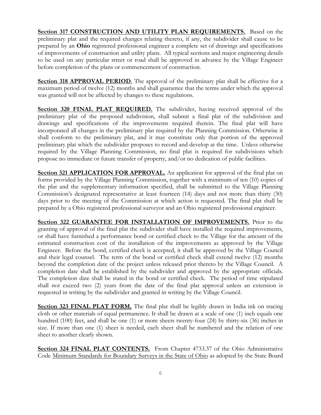**Section 317 CONSTRUCTION AND UTILITY PLAN REQUIREMENTS.** Based on the preliminary plat and the required changes relating thereto, if any, the subdivider shall cause to be prepared by an **Ohio** registered professional engineer a complete set of drawings and specifications of improvements of construction and utility plans. All typical sections and major engineering details to be used on any particular street or road shall be approved in advance by the Village Engineer before completion of the plans or commencement of construction.

**Section 318 APPROVAL PERIOD**. The approval of the preliminary plat shall be effective for a maximum period of twelve (12) months and shall guarantee that the terms under which the approval was granted will not be affected by changes to these regulations.

**Section 320 FINAL PLAT REQUIRED.** The subdivider, having received approval of the preliminary plat of the proposed subdivision, shall submit a final plat of the subdivision and drawings and specifications of the improvements required therein. The final plat will have incorporated all changes in the preliminary plat required by the Planning Commission. Otherwise it shall conform to the preliminary plat, and it may constitute only that portion of the approved preliminary plat which the subdivider proposes to record and develop at the time. Unless otherwise required by the Village Planning Commission, no final plat is required for subdivisions which propose no immediate or future transfer of property, and/or no dedication of public facilities.

**Section 321 APPLICATION FOR APPROVAL.** An application for approval of the final plat on forms provided by the Village Planning Commission, together with a minimum of ten (10) copies of the plat and the supplementary information specified, shall be submitted to the Village Planning Commission's designated representative at least fourteen (14) days and not more than thirty (30) days prior to the meeting of the Commission at which action is requested. The final plat shall be prepared by a Ohio registered professional surveyor and an Ohio registered professional engineer.

**Section 322 GUARANTEE FOR INSTALLATION OF IMPROVEMENTS.** Prior to the granting of approval of the final plat the subdivider shall have installed the required improvements, or shall have furnished a performance bond or certified check to the Village for the amount of the estimated construction cost of the installation of the improvements as approved by the Village Engineer. Before the bond, certified check is accepted, it shall be approved by the Village Council and their legal counsel. The term of the bond or certified check shall extend twelve (12) months beyond the completion date of the project unless released prior thereto by the Village Council. A completion date shall be established by the subdivider and approved by the appropriate officials. The completion date shall be stated in the bond or certified check. The period of time stipulated shall not exceed two (2) years from the date of the final plat approval unless an extension is requested in writing by the subdivider and granted in writing by the Village Council.

**Section 323 FINAL PLAT FORM.** The final plat shall be legibly drawn in India ink on tracing cloth or other materials of equal permanence. It shall be drawn at a scale of one (1) inch equals one hundred (100) feet, and shall be one (1) or more sheets twenty-four (24) by thirty-six (36) inches in size. If more than one (1) sheet is needed, each sheet shall be numbered and the relation of one sheet to another clearly shown.

**Section 324 FINAL PLAT CONTENTS.** From Chapter 4733.37 of the Ohio Administrative Code Minimum Standards for Boundary Surveys in the State of Ohio as adopted by the State Board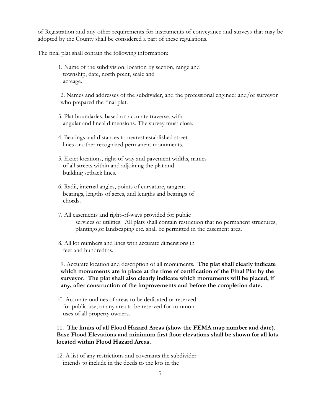of Registration and any other requirements for instruments of conveyance and surveys that may be adopted by the County shall be considered a part of these regulations.

The final plat shall contain the following information:

1. Name of the subdivision, location by section, range and township, date, north point, scale and acreage.

2. Names and addresses of the subdivider, and the professional engineer and/or surveyor who prepared the final plat.

- 3. Plat boundaries, based on accurate traverse, with angular and lineal dimensions. The survey must close.
- 4. Bearings and distances to nearest established street lines or other recognized permanent monuments.
- 5. Exact locations, right-of-way and pavement widths, names of all streets within and adjoining the plat and building setback lines.
- 6. Radii, internal angles, points of curvature, tangent bearings, lengths of acres, and lengths and bearings of chords.
- 7. All easements and right-of-ways provided for public services or utilities. All plats shall contain restriction that no permanent structures, plantings,or landscaping etc. shall be permitted in the easement area.
- 8. All lot numbers and lines with accurate dimensions in feet and hundredths.

9. Accurate location and description of all monuments. **The plat shall clearly indicate which monuments are in place at the time of certification of the Final Plat by the surveyor. The plat shall also clearly indicate which monuments will be placed, if any, after construction of the improvements and before the completion date.**

10. Accurate outlines of areas to be dedicated or reserved for public use, or any area to be reserved for common uses of all property owners.

#### 11. **The limits of all Flood Hazard Areas (show the FEMA map number and date). Base Flood Elevations and minimum first floor elevations shall be shown for all lots located within Flood Hazard Areas.**

12. A list of any restrictions and covenants the subdivider intends to include in the deeds to the lots in the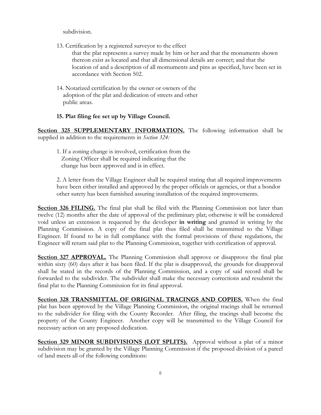subdivision.

13. Certification by a registered surveyor to the effect

that the plat represents a survey made by him or her and that the monuments shown thereon exist as located and that all dimensional details are correct; and that the location of and a description of all momuments and pins as specified, have been set in accordance with Section 502.

14. Notarized certification by the owner or owners of the adoption of the plat and dedication of streets and other public areas.

#### **15. Plat filing fee set up by Village Council.**

**Section 325 SUPPLEMENTARY INFORMATION.** The following information shall be supplied in addition to the requirements in *Section 324:*

1. If a zoning change is involved, certification from the Zoning Officer shall be required indicating that the change has been approved and is in effect.

2. A letter from the Village Engineer shall be required stating that all required improvements have been either installed and approved by the proper officials or agencies, or that a bondor other surety has been furnished assuring installation of the required improvements.

**Section 326 FILING.** The final plat shall be filed with the Planning Commission not later than twelve (12) months after the date of approval of the preliminary plat; otherwise it will be considered void unless an extension is requested by the developer **in writing** and granted in writing by the Planning Commission. A copy of the final plat thus filed shall be transmitted to the Village Engineer. If found to be in full compliance with the formal provisions of these regulations, the Engineer will return said plat to the Planning Commission, together with certification of approval.

**Section 327 APPROVAL.** The Planning Commission shall approve or disapprove the final plat within sixty (60) days after it has been filed. If the plat is disapproved, the grounds for disapproval shall be stated in the records of the Planning Commission, and a copy of said record shall be forwarded to the subdivider. The subdivider shall make the necessary corrections and resubmit the final plat to the Planning Commission for its final approval.

**Section 328 TRANSMITTAL OF ORIGINAL TRACINGS AND COPIES.** When the final plat has been approved by the Village Planning Commission, the original tracings shall be returned to the subdivider for filing with the County Recorder. After filing, the tracings shall become the property of the County Engineer. Another copy will be transmitted to the Village Council for necessary action on any proposed dedication.

**Section 329 MINOR SUBDIVISIONS (LOT SPLITS).** Approval without a plat of a minor subdivision may be granted by the Village Planning Commission if the proposed division of a parcel of land meets all of the following conditions: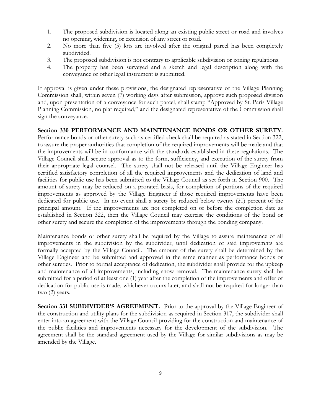- 1. The proposed subdivision is located along an existing public street or road and involves no opening, widening, or extension of any street or road.
- 2. No more than five (5) lots are involved after the original parcel has been completely subdivided.
- 3. The proposed subdivision is not contrary to applicable subdivision or zoning regulations.
- 4. The property has been surveyed and a sketch and legal description along with the conveyance or other legal instrument is submitted.

If approval is given under these provisions, the designated representative of the Village Planning Commission shall, within seven (7) working days after submission, approve such proposed division and, upon presentation of a conveyance for such parcel, shall stamp "Approved by St. Paris Village Planning Commission, no plat required," and the designated representative of the Commission shall sign the conveyance.

## **Section 330 PERFORMANCE AND MAINTENANCE BONDS OR OTHER SURETY.**

Performance bonds or other surety such as certified check shall be required as stated in Section 322, to assure the proper authorities that completion of the required improvements will be made and that the improvements will be in conformance with the standards established in these regulations. The Village Council shall secure approval as to the form, sufficiency, and execution of the surety from their appropriate legal counsel. The surety shall not be released until the Village Engineer has certified satisfactory completion of all the required improvements and the dedication of land and facilities for public use has been submitted to the Village Council as set forth in Section 900. The amount of surety may be reduced on a prorated basis, for completion of portions of the required improvements as approved by the Village Engineer if those required improvements have been dedicated for public use. In no event shall a surety be reduced below twenty (20) percent of the principal amount. If the improvements are not completed on or before the completion date as established in Section 322, then the Village Council may exercise the conditions of the bond or other surety and secure the completion of the improvements through the bonding company.

Maintenance bonds or other surety shall be required by the Village to assure maintenance of all improvements in the subdivision by the subdivider, until dedication of said improvemnts are formally accepted by the Village Council. The amount of the surety shall be determined by the Village Engineer and be submitted and approved in the same manner as performance bonds or other sureties. Prior to formal acceptance of dedication, the subdivider shall provide for the upkeep and maintenance of all improvements, including snow removal. The maintenance surety shall be submitted for a period of at least one (1) year after the completion of the improvements and offer of dedication for public use is made, whichever occurs later, and shall not be required for longer than two (2) years.

**Section 331 SUBDIVIDER'S AGREEMENT.** Prior to the approval by the Village Engineer of the construction and utility plans for the subdivision as required in Section 317, the subdivider shall enter into an agreement with the Village Council providing for the construction and maintenance of the public facilities and improvements necessary for the development of the subdivision. The agreement shall be the standard agreement used by the Village for similar subdivisions as may be amended by the Village.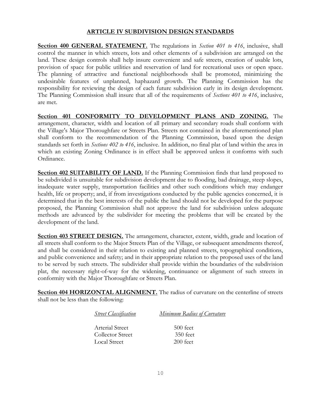#### **ARTICLE IV SUBDIVISION DESIGN STANDARDS**

**Section 400 GENERAL STATEMENT.** The regulations in *Section 401 to 416*, inclusive, shall control the manner in which streets, lots and other elements of a subdivision are arranged on the land. These design controls shall help insure convenient and safe streets, creation of usable lots, provision of space for public utilities and reservation of land for recreational uses or open space. The planning of attractive and functional neighborhoods shall be promoted, minimizing the undesirable features of unplanned, haphazard growth. The Planning Commission has the responsibility for reviewing the design of each future subdivision early in its design development. The Planning Commission shall insure that all of the requirements of *Sections 401 to 416*, inclusive, are met.

**Section 401 CONFORMITY TO DEVELOPMENT PLANS AND ZONING.** The arrangement, character, width and location of all primary and secondary roads shall conform with the Village's Major Thoroughfare or Streets Plan. Streets not contained in the aforementioned plan shall conform to the recommendation of the Planning Commission, based upon the design standards set forth in *Sections 402 to 416*, inclusive. In addition, no final plat of land within the area in which an existing Zoning Ordinance is in effect shall be approved unless it conforms with such Ordinance.

**Section 402 SUITABILITY OF LAND.** If the Planning Commission finds that land proposed to be subdivided is unsuitable for subdivision development due to flooding, bad drainage, steep slopes, inadequate water supply, transportation facilities and other such conditions which may endanger health, life or property; and, if from investigations conducted by the public agencies concerned, it is determined that in the best interests of the public the land should not be developed for the purpose proposed, the Planning Commission shall not approve the land for subdivision unless adequate methods are advanced by the subdivider for meeting the problems that will be created by the development of the land.

**Section 403 STREET DESIGN.** The arrangement, character, extent, width, grade and location of all streets shall conform to the Major Streets Plan of the Village, or subsequent amendments thereof, and shall be considered in their relation to existing and planned streets, topographical conditions, and public convenience and safety; and in their appropriate relation to the proposed uses of the land to be served by such streets. The subdivider shall provide within the boundaries of the subdivision plat, the necessary right-of-way for the widening, continuance or alignment of such streets in conformity with the Major Thoroughfare or Streets Plan.

Section 404 HORIZONTAL ALIGNMENT. The radius of curvature on the centerline of streets shall not be less than the following:

> *Street Classification Minimum Radius of Curvature* Arterial Street 500 feet Collector Street 350 feet<br>
> Local Street 200 feet Local Street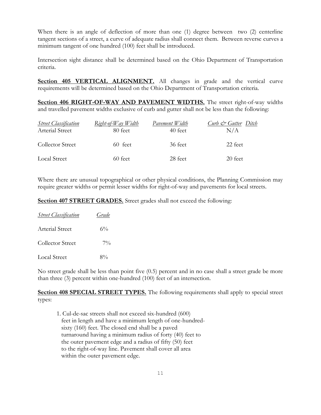When there is an angle of deflection of more than one (1) degree between two (2) centerline tangent sections of a street, a curve of adequate radius shall connect them. Between reverse curves a minimum tangent of one hundred (100) feet shall be introduced.

Intersection sight distance shall be determined based on the Ohio Department of Transportation criteria.

Section 405 VERTICAL ALIGNMENT. All changes in grade and the vertical curve requirements will be determined based on the Ohio Department of Transportation criteria.

**Section 406 RIGHT-OF-WAY AND PAVEMENT WIDTHS.** The street right-of-way widths and travelled pavement widths exclusive of curb and gutter shall not be less than the following:

| <b>Street Classification</b><br>Arterial Street | $Right-of-Way$ <i>Width</i><br>80 feet | Pavement Width<br>40 feet | Curb & Gutter Ditch<br>N/A |
|-------------------------------------------------|----------------------------------------|---------------------------|----------------------------|
| <b>Collector Street</b>                         | 60 feet                                | 36 feet                   | 22 feet                    |
| Local Street                                    | 60 feet                                | 28 feet                   | 20 feet                    |

Where there are unusual topographical or other physical conditions, the Planning Commission may require greater widths or permit lesser widths for right-of-way and pavements for local streets.

**Section 407 STREET GRADES.** Street grades shall not exceed the following:

| <b>Street Classification</b> | Grade |
|------------------------------|-------|
| Arterial Street              | $6\%$ |
| Collector Street             | $7\%$ |
| <b>Local Street</b>          | $8\%$ |

No street grade shall be less than point five (0.5) percent and in no case shall a street grade be more than three (3) percent within one-hundred (100) feet of an intersection.

**Section 408 SPECIAL STREET TYPES.** The following requirements shall apply to special street types:

1. Cul-de-sac streets shall not exceed six-hundred (600) feet in length and have a minimum length of one-hundred sixty (160) feet. The closed end shall be a paved turnaround having a minimum radius of forty (40) feet to the outer pavement edge and a radius of fifty (50) feet to the right-of-way line. Pavement shall cover all area within the outer pavement edge.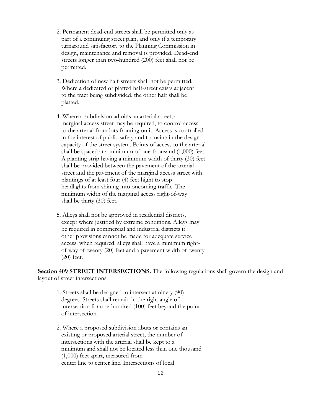- 2. Permanent dead-end streets shall be permitted only as part of a continuing street plan, and only if a temporary turnaround satisfactory to the Planning Commission in design, maintenance and removal is provided. Dead-end streets longer than two-hundred (200) feet shall not be permitted.
- 3. Dedication of new half-streets shall not be permitted. Where a dedicated or platted half-street exists adjacent to the tract being subdivided, the other half shall be platted.
- 4. Where a subdivision adjoins an arterial street, a marginal access street may be required, to control access to the arterial from lots fronting on it. Access is controlled in the interest of public safety and to maintain the design capacity of the street system. Points of access to the arterial shall be spaced at a minimum of one-thousand (1,000) feet. A planting strip having a minimum width of thirty (30) feet shall be provided between the pavement of the arterial street and the pavement of the marginal access street with plantings of at least four (4) feet hight to stop headlights from shining into oncoming traffic. The minimum width of the marginal access right-of-way shall be thirty (30) feet.
- 5. Alleys shall not be approved in residential districts, except where justified by extreme conditions. Alleys may be required in commercial and industrial districts if other provisions cannot be made for adequate service access. when required, alleys shall have a minimum right of-way of twenty (20) feet and a pavement width of twenty (20) feet.

**Section 409 STREET INTERSECTIONS.** The following regulations shall govern the design and layout of street intersections:

- 1. Streets shall be designed to intersect at ninety (90) degrees. Streets shall remain in the right angle of intersection for one-hundred (100) feet beyond the point of intersection.
- 2. Where a proposed subdivision abuts or contains an existing or proposed arterial street, the number of intersections with the arterial shall be kept to a minimum and shall not be located less than one thousand (1,000) feet apart, measured from center line to center line. Intersections of local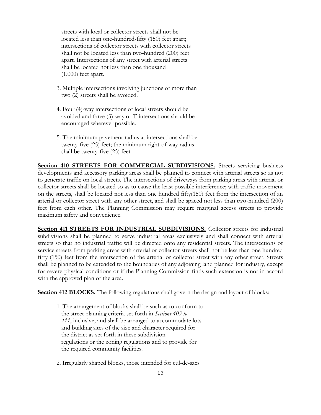streets with local or collector streets shall not be located less than one-hundred-fifty (150) feet apart; intersections of collector streets with collector streets shall not be located less than two-hundred (200) feet apart. Intersections of any street with arterial streets shall be located not less than one thousand (1,000) feet apart.

- 3. Multiple intersections involving junctions of more than two (2) streets shall be avoided.
- 4. Four (4)-way intersections of local streets should be avoided and three (3)-way or T-intersections should be encouraged wherever possible.
- 5. The minimum pavement radius at intersections shall be twenty-five (25) feet; the minimum right-of-way radius shall be twenty-five (25) feet.

**Section 410 STREETS FOR COMMERCIAL SUBDIVISIONS.** Streets servicing business developments and accessory parking areas shall be planned to connect with arterial streets so as not to generate traffic on local streets. The intersections of driveways from parking areas with arterial or collector streets shall be located so as to cause the least possible interference; with traffic movement on the streets, shall be located not less than one hundred fifty(150) feet from the intersection of an arterial or collector street with any other street, and shall be spaced not less than two-hundred (200) feet from each other. The Planning Commission may require marginal access streets to provide maximum safety and convenience.

**Section 411 STREETS FOR INDUSTRIAL SUBDIVISIONS.** Collector streets for industrial subdivisions shall be planned to serve industrial areas exclusively and shall connect with arterial streets so that no industrial traffic will be directed onto any residential streets. The intersections of service streets from parking areas with arterial or collector streets shall not be less than one hundred fifty (150) feet from the intersection of the arterial or collector street with any other street. Streets shall be planned to be extended to the boundaries of any adjoining land planned for industry, except for severe physical conditions or if the Planning Commission finds such extension is not in accord with the approved plan of the area.

**Section 412 BLOCKS.** The following regulations shall govern the design and layout of blocks:

1. The arrangement of blocks shall be such as to conform to the street planning criteria set forth in *Sections 403 to 411*, inclusive, and shall be arranged to accommodate lots and building sites of the size and character required for the district as set forth in these subdivision regulations or the zoning regulations and to provide for the required community facilities.

2. Irregularly shaped blocks, those intended for cul-de-sacs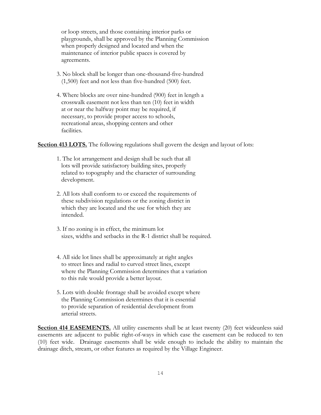or loop streets, and those containing interior parks or playgrounds, shall be approved by the Planning Commission when properly designed and located and when the maintenance of interior public spaces is covered by agreements.

- 3. No block shall be longer than one-thousand-five-hundred (1,500) feet and not less than five-hundred (500) feet.
- 4. Where blocks are over nine-hundred (900) feet in length a crosswalk easement not less than ten (10) feet in width at or near the halfway point may be required, if necessary, to provide proper access to schools, recreational areas, shopping centers and other facilities.

**Section 413 LOTS.** The following regulations shall govern the design and layout of lots:

- 1. The lot arrangement and design shall be such that all lots will provide satisfactory building sites, properly related to topography and the character of surrounding development.
- 2. All lots shall conform to or exceed the requirements of these subdivision regulations or the zoning district in which they are located and the use for which they are intended.
- 3. If no zoning is in effect, the minimum lot sizes, widths and setbacks in the R-1 district shall be required.
- 4. All side lot lines shall be approximately at right angles to street lines and radial to curved street lines, except where the Planning Commission determines that a variation to this rule would provide a better layout.
- 5. Lots with double frontage shall be avoided except where the Planning Commission determines that it is essential to provide separation of residential development from arterial streets.

**Section 414 EASEMENTS.** All utility easements shall be at least twenty (20) feet wideunless said easements are adjacent to public right-of-ways in which case the easement can be reduced to ten (10) feet wide. Drainage easements shall be wide enough to include the ability to maintain the drainage ditch, stream, or other features as required by the Village Engineer.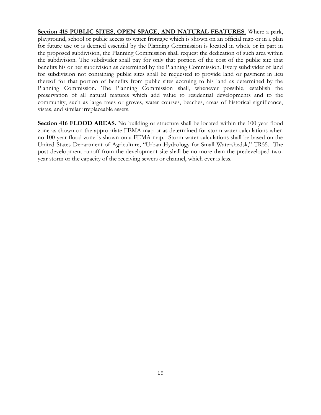**Section 415 PUBLIC SITES, OPEN SPACE, AND NATURAL FEATURES.** Where a park, playground, school or public access to water frontage which is shown on an official map or in a plan for future use or is deemed essential by the Planning Commission is located in whole or in part in the proposed subdivision, the Planning Commission shall request the dedication of such area within the subdivision. The subdivider shall pay for only that portion of the cost of the public site that benefits his or her subdivision as determined by the Planning Commission. Every subdivider of land for subdivision not containing public sites shall be requested to provide land or payment in lieu thereof for that portion of benefits from public sites accruing to his land as determined by the Planning Commission. The Planning Commission shall, whenever possible, establish the preservation of all natural features which add value to residential developments and to the community, such as large trees or groves, water courses, beaches, areas of historical significance, vistas, and similar irreplaceable assets.

**Section 416 FLOOD AREAS.** No building or structure shall be located within the 100-year flood zone as shown on the appropriate FEMA map or as determined for storm water calculations when no 100-year flood zone is shown on a FEMA map. Storm water calculations shall be based on the United States Department of Agriculture, "Urban Hydrology for Small Watershedsk," TR55. The post development runoff from the development site shall be no more than the predeveloped twoyear storm or the capacity of the receiving sewers or channel, which ever is less.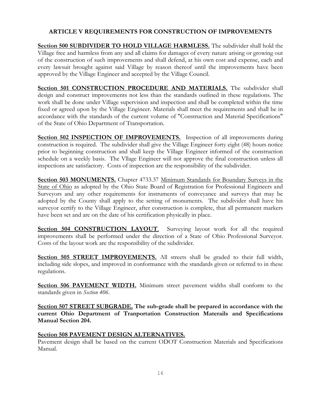## **ARTICLE V REQUIREMENTS FOR CONSTRUCTION OF IMPROVEMENTS**

**Section 500 SUBDIVIDER TO HOLD VILLAGE HARMLESS.** The subdivider shall hold the Village free and harmless from any and all claims for damages of every nature arising or growing out of the construction of such improvements and shall defend, at his own cost and expense, each and every lawsuit brought against said Village by reason thereof until the improvements have been approved by the Village Engineer and accepted by the Village Council.

**Section 501 CONSTRUCTION PROCEDURE AND MATERIALS.** The subdivider shall design and construct improvements not less than the standards outlined in these regulations. The work shall be done under Village supervision and inspection and shall be completed within the time fixed or agreed upon by the Village Engineer. Materials shall meet the requirements and shall be in accordance with the standards of the current volume of "Construction and Material Specifications" of the State of Ohio Department of Transportation.

**Section 502 INSPECTION OF IMPROVEMENTS.** Inspection of all improvements during construction is required. The subdivider shall give the Village Engineer forty eight (48) hours notice prior to beginning construction and shall keep the Village Engineer informed of the construction schedule on a weekly basis. The Vllage Engineer will not approve the final construction unless all inspections are satisfactory. Costs of inspection are the responsibility of the subdivider.

**Section 503 MONUMENTS.** Chapter 4733.37 Minimum Standards for Boundary Surveys in the State of Ohio as adopted by the Ohio State Board of Registration for Professional Engineers and Surveyors and any other requirements for instruments of conveyance and surveys that may be adopted by the County shall apply to the setting of monuments. The subdivider shall have his surveyor certify to the Village Engineer, after construction is complete, that all permanent markers have been set and are on the date of his certification physically in place.

**Section 504 CONSTRUCTION LAYOUT.** Surveying layout work for all the required improvements shall be performed under the direction of a State of Ohio Professional Surveyor. Costs of the layout work are the responsibility of the subdivider.

**Section 505 STREET IMPROVEMENTS.** All streets shall be graded to their full width, including side slopes, and improved in conformance with the standards given or referred to in these regulations.

**Section 506 PAVEMENT WIDTH.** Minimum street pavement widths shall conform to the standards given in *Section 406*.

**Section 507 STREET SUBGRADE. The sub-grade shall be prepared in accordance with the current Ohio Department of Tranportation Construction Materails and Specifications Manual Section 204.**

## **Section 508 PAVEMENT DESIGN ALTERNATIVES.**

Pavement design shall be based on the current ODOT Construction Materials and Specifications Manual.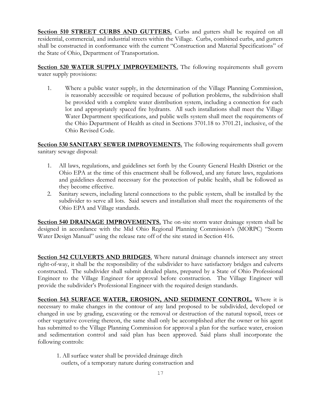**Section 510 STREET CURBS AND GUTTERS.** Curbs and gutters shall be required on all residential, commercial, and industrial streets within the Village. Curbs, combined curbs, and gutters shall be constructed in conformance with the current "Construction and Material Specifications" of the State of Ohio, Department of Transportation.

**Section 520 WATER SUPPLY IMPROVEMENTS.** The following requirements shall govern water supply provisions:

1. Where a public water supply, in the determination of the Village Planning Commission, is reasonably accessible or required because of pollution problems, the subdivision shall be provided with a complete water distribution system, including a connection for each lot and appropriately spaced fire hydrants. All such installations shall meet the Village Water Department specifications, and public wells system shall meet the requirements of the Ohio Department of Health as cited in Sections 3701.18 to 3701.21, inclusive, of the Ohio Revised Code.

**Section 530 SANITARY SEWER IMPROVEMENTS.** The following requirements shall govern sanitary sewage disposal:

- 1. All laws, regulations, and guidelines set forth by the County General Health District or the Ohio EPA at the time of this enactment shall be followed, and any future laws, regulations and guidelines deemed necessary for the protection of public health, shall be followed as they become effective.
- 2. Sanitary sewers, including lateral connections to the public system, shall be installed by the subdivider to serve all lots. Said sewers and installation shall meet the requirements of the Ohio EPA and Village standards.

**Section 540 DRAINAGE IMPROVEMENTS.** The on-site storm water drainage system shall be designed in accordance with the Mid Ohio Regional Planning Commission's (MORPC) "Storm Water Design Manual" using the release rate off of the site stated in Section 416.

**Section 542 CULVERTS AND BRIDGES**. Where natural drainage channels intersect any street right-of-way, it shall be the responsibility of the subdivider to have satisfactory bridges and culverts constructed. The subdivider shall submit detailed plans, prepared by a State of Ohio Professional Engineer to the Village Engineer for approval before construction. The Village Engineer will provide the subdivider's Professional Engineer with the required design standards.

**Section 543 SURFACE WATER, EROSION, AND SEDIMENT CONTROL.** Where it is necessary to make changes in the contour of any land proposed to be subdivided, developed or changed in use by grading, excavating or the removal or destruction of the natural topsoil, trees or other vegetative covering thereon, the same shall only be accomplished after the owner or his agent has submitted to the Village Planning Commission for approval a plan for the surface water, erosion and sedimentation control and said plan has been approved. Said plans shall incorporate the following controls:

1. All surface water shall be provided drainage ditch outlets, of a temporary nature during construction and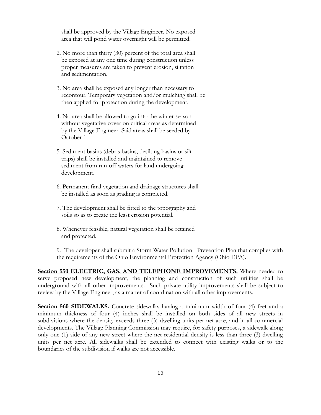shall be approved by the Village Engineer. No exposed area that will pond water overnight will be permitted.

- 2. No more than thirty (30) percent of the total area shall be exposed at any one time during construction unless proper measures are taken to prevent erosion, siltation and sedimentation.
- 3. No area shall be exposed any longer than necessary to recontour. Temporary vegetation and/or mulching shall be then applied for protection during the development.
- 4. No area shall be allowed to go into the winter season without vegetative cover on critical areas as determined by the Village Engineer. Said areas shall be seeded by October 1.
- 5. Sediment basins (debris basins, desilting basins or silt traps) shall be installed and maintained to remove sediment from run-off waters for land undergoing development.
- 6. Permanent final vegetation and drainage structures shall be installed as soon as grading is completed.
- 7. The development shall be fitted to the topography and soils so as to create the least erosion potential.
- 8. Whenever feasible, natural vegetation shall be retained and protected.

9. The developer shall submit a Storm Water Pollution Prevention Plan that complies with the requirements of the Ohio Environmental Protection Agency (Ohio EPA).

**Section 550 ELECTRIC, GAS, AND TELEPHONE IMPROVEMENTS.** Where needed to serve proposed new development, the planning and construction of such utilities shall be underground with all other improvements. Such private utility improvements shall be subject to review by the Village Engineer, as a matter of coordination with all other improvements.

**Section 560 SIDEWALKS.** Concrete sidewalks having a minimum width of four (4) feet and a minimum thickness of four (4) inches shall be installed on both sides of all new streets in subdivisions where the density exceeds three (3) dwelling units per net acre, and in all commercial developments. The Village Planning Commission may require, for safety purposes, a sidewalk along only one (1) side of any new street where the net residential density is less than three (3) dwelling units per net acre. All sidewalks shall be extended to connect with existing walks or to the boundaries of the subdivision if walks are not accessible.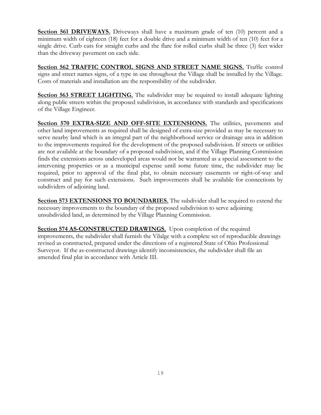**Section 561 DRIVEWAYS.** Driveways shall have a maximum grade of ten (10) percent and a minimum width of eighteen (18) feet for a double drive and a minimum width of ten (10) feet for a single drive. Curb cuts for straight curbs and the flare for rolled curbs shall be three (3) feet wider than the driveway pavement on each side.

**Section 562 TRAFFIC CONTROL SIGNS AND STREET NAME SIGNS.** Traffic control signs and street names signs, of a type in use throughout the Village shall be installed by the Village. Costs of materials and installation are the responsibility of the subdivider.

**Section 563 STREET LIGHTING.** The subdivider may be required to install adequate lighting along public streets within the proposed subdivision, in accordance with standards and specifications of the Village Engineer.

**Section 570 EXTRA-SIZE AND OFF-SITE EXTENSIONS.** The utilities, pavements and other land improvements as required shall be designed of extra-size provided as may be necessary to serve nearby land which is an integral part of the neighborhood service or drainage area in addition to the improvements required for the development of the proposed subdivision. If streets or utilities are not available at the boundary of a proposed subdivision, and if the Village Planning Commission finds the extensions across undeveloped areas would not be warranted as a special assessment to the intervening properties or as a municipal expense until some future time, the subdivider may be required, prior to approval of the final plat, to obtain necessary easements or right-of-way and construct and pay for such extensions. Such improvements shall be available for connections by subdividers of adjoining land.

**Section 573 EXTENSIONS TO BOUNDARIES.** The subdivider shall be required to extend the necessary improvements to the boundary of the proposed subdivision to serve adjoining unsubdivided land, as determined by the Village Planning Commission.

**Section 574 AS-CONSTRUCTED DRAWINGS.** Upon completion of the required improvements, the subdivider shall furnish the Vilalge with a complete set of reproducible drawings revised as constructed, prepared under the directions of a registered State of Ohio Professional Surveyor. If the as-constructed drawings identify inconsistencies, the subdivider shall file an amended final plat in accordance with Article III.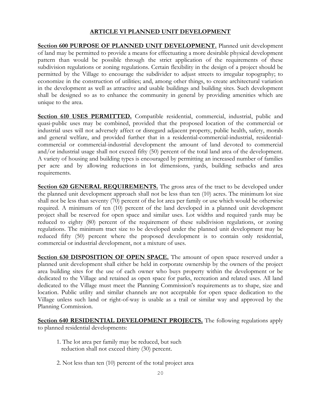#### **ARTICLE VI PLANNED UNIT DEVELOPMENT**

**Section 600 PURPOSE OF PLANNED UNIT DEVELOPMENT.** Planned unit development of land may be permitted to provide a means for effectuating a more desirable physical development pattern than would be possible through the strict application of the requirements of these subdivision regulations or zoning regulations. Certain flexibility in the design of a project should be permitted by the Village to encourage the subdivider to adjust streets to irregular topography; to economize in the construction of utilities; and, among other things, to create architectural variation in the development as well as attractive and usable buildings and building sites. Such development shall be designed so as to enhance the community in general by providing amenities which are unique to the area.

**Section 610 USES PERMITTED.** Compatible residential, commercial, industrial, public and quasi-public uses may be combined, provided that the proposed location of the commercial or industrial uses will not adversely affect or disregard adjacent property, public health, safety, morals and general welfare, and provided further that in a residential-commercial-industrial, residentialcommercial or commercial-industrial development the amount of land devoted to commercial and/or industrial usage shall not exceed fifty (50) percent of the total land area of the development. A variety of housing and building types is encouraged by permitting an increased number of families per acre and by allowing reductions in lot dimensions, yards, building setbacks and area requirements.

**Section 620 GENERAL REQUIREMENTS.** The gross area of the tract to be developed under the planned unit development approach shall not be less than ten (10) acres. The minimum lot size shall not be less than seventy (70) percent of the lot area per family or use which would be otherwise required. A minimum of ten (10) percent of the land developed in a planned unit development project shall be reserved for open space and similar uses. Lot widths and required yards may be reduced to eighty (80) percent of the requirement of these subdivision regulations, or zoning regulations. The minimum tract size to be developed under the planned unit development may be reduced fifty (50) percent where the proposed development is to contain only residential, commercial or industrial development, not a mixture of uses.

Section 630 **DISPOSITION OF OPEN SPACE**. The amount of open space reserved under a planned unit development shall either be held in corporate ownership by the owners of the project area building sites for the use of each owner who buys property within the development or be dedicated to the Village and retained as open space for parks, recreation and related uses. All land dedicated to the Village must meet the Planning Commission's requirements as to shape, size and location. Public utility and similar channels are not acceptable for open space dedication to the Village unless such land or right-of-way is usable as a trail or similar way and approved by the Planning Commission.

**Section 640 RESIDENTIAL DEVELOPMENT PROJECTS.** The following regulations apply to planned residential developments:

- 1. The lot area per family may be reduced, but such reduction shall not exceed thirty (30) percent.
- 2. Not less than ten (10) percent of the total project area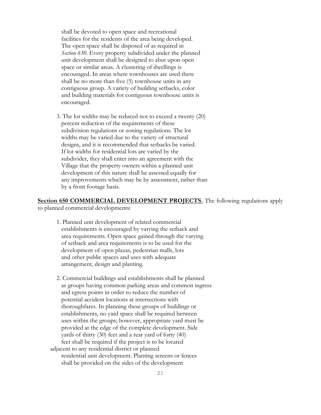shall be devoted to open space and recreational facilities for the residents of the area being developed. The open space shall be disposed of as required in  *Section 630*. Every property subdivided under the planned unit development shall be designed to abut upon open space or similar areas. A clustering of dwellings is encouraged. In areas where townhouses are used there shall be no more than five (5) townhouse units in any contiguous group. A variety of building setbacks, color and building materials for contiguous townhouse units is encouraged.

3. The lot widths may be reduced not to exceed a twenty (20) percent reduction of the requirements of these subdivision regulations or zoning regulations. The lot widths may be varied due to the variety of structural designs, and it is recommended that setbacks be varied. If lot widths for residential lots are varied by the subdivider, they shall enter into an agreement with the Village that the property owners within a planned unit development of this nature shall be assessed equally for any improvements which may be by assessment, rather than by a front footage basis.

**Section 650 COMMERCIAL DEVELOPMENT PROJECTS.** The following regulations apply to planned commercial developments:

- 1. Planned unit development of related commercial establishments is encouraged by varying the setback and area requirements. Open space gained through the varying of setback and area requirements is to be used for the development of open plazas, pedestrian malls, lots and other public spaces and uses with adequate arrangement, design and planting.
- 2. Commercial buildings and establishments shall be planned as groups having common parking areas and common ingress and egress points in order to reduce the number of potential accident locations at intersections with thoroughfares. In planning these groups of buildings or establishments, no yard space shall be required between uses within the groups; however, appropriate yard must be provided at the edge of the complete development. Side yards of thirty (30) feet and a rear yard of forty (40) feet shall be required if the project is to be located adjacent to any residential district or planned residential unit development. Planting screens or fences shall be provided on the sides of the development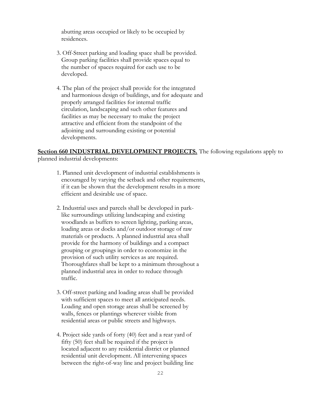abutting areas occupied or likely to be occupied by residences.

- 3. Off-Street parking and loading space shall be provided. Group parking facilities shall provide spaces equal to the number of spaces required for each use to be developed.
- 4. The plan of the project shall provide for the integrated and harmonious design of buildings, and for adequate and properly arranged facilities for internal traffic circulation, landscaping and such other features and facilities as may be necessary to make the project attractive and efficient from the standpoint of the adjoining and surrounding existing or potential developments.

**Section 660 INDUSTRIAL DEVELOPMENT PROJECTS.** The following regulations apply to planned industrial developments:

- 1. Planned unit development of industrial establishments is encouraged by varying the setback and other requirements, if it can be shown that the development results in a more efficient and desirable use of space.
- 2. Industrial uses and parcels shall be developed in park like surroundings utilizing landscaping and existing woodlands as buffers to screen lighting, parking areas, loading areas or docks and/or outdoor storage of raw materials or products. A planned industrial area shall provide for the harmony of buildings and a compact grouping or groupings in order to economize in the provision of such utility services as are required. Thoroughfares shall be kept to a minimum throughout a planned industrial area in order to reduce through traffic.
- 3. Off-street parking and loading areas shall be provided with sufficient spaces to meet all anticipated needs. Loading and open storage areas shall be screened by walls, fences or plantings wherever visible from residential areas or public streets and highways.
- 4. Project side yards of forty (40) feet and a rear yard of fifty (50) feet shall be required if the project is located adjacent to any residential district or planned residential unit development. All intervening spaces between the right-of-way line and project building line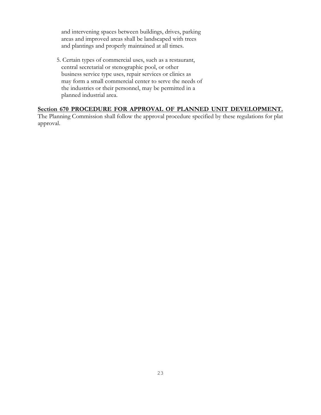and intervening spaces between buildings, drives, parking areas and improved areas shall be landscaped with trees and plantings and properly maintained at all times.

5. Certain types of commercial uses, such as a restaurant, central secretarial or stenographic pool, or other business service type uses, repair services or clinics as may form a small commercial center to serve the needs of the industries or their personnel, may be permitted in a planned industrial area.

#### **Section 670 PROCEDURE FOR APPROVAL OF PLANNED UNIT DEVELOPMENT.**

The Planning Commission shall follow the approval procedure specified by these regulations for plat approval.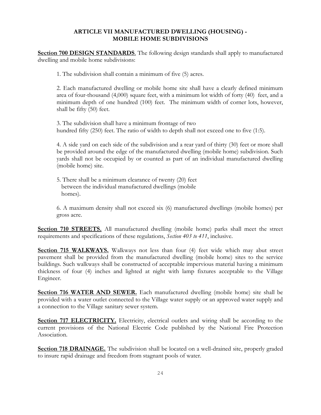#### **ARTICLE VII MANUFACTURED DWELLING (HOUSING) - MOBILE HOME SUBDIVISIONS**

**Section 700 DESIGN STANDARDS**. The following design standards shall apply to manufactured dwelling and mobile home subdivisions:

1. The subdivision shall contain a minimum of five (5) acres.

2. Each manufactured dwelling or mobile home site shall have a clearly defined minimum area of four-thousand (4,000) square feet, with a minimum lot width of forty (40) feet, and a minimum depth of one hundred (100) feet. The minimum width of corner lots, however, shall be fifty (50) feet.

3. The subdivision shall have a minimum frontage of two hundred fifty (250) feet. The ratio of width to depth shall not exceed one to five (1:5).

4. A side yard on each side of the subdivision and a rear yard of thirty (30) feet or more shall be provided around the edge of the manufactured dwelling (mobile home) subdivision. Such yards shall not be occupied by or counted as part of an individual manufactured dwelling (mobile home) site.

5. There shall be a minimum clearance of twenty (20) feet between the individual manufactured dwellings (mobile homes).

6. A maximum density shall not exceed six (6) manufactured dwellings (mobile homes) per gross acre.

**Section 710 STREETS.** All manufactured dwelling (mobile home) parks shall meet the street requirements and specifications of these regulations, *Section 403 to 411*, inclusive.

**Section 715 WALKWAYS.** Walkways not less than four (4) feet wide which may abut street pavement shall be provided from the manufactured dwelling (mobile home) sites to the service buildings. Such walkways shall be constructed of acceptable impervious material having a minimum thickness of four (4) inches and lighted at night with lamp fixtures acceptable to the Village Engineer.

**Section 716 WATER AND SEWER.** Each manufactured dwelling (mobile home) site shall be provided with a water outlet connected to the Village water supply or an approved water supply and a connection to the Village sanitary sewer system.

**Section 717 ELECTRICITY.** Electricity, electrical outlets and wiring shall be according to the current provisions of the National Electric Code published by the National Fire Protection Association.

**Section 718 DRAINAGE.** The subdivision shall be located on a well-drained site, properly graded to insure rapid drainage and freedom from stagnant pools of water.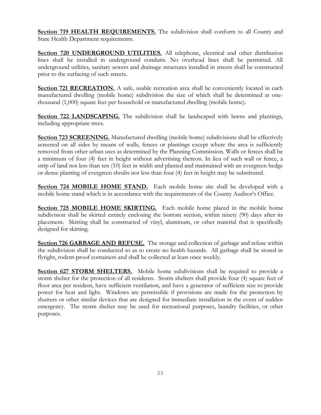**Section 719 HEALTH REQUIREMENTS.** The subdivision shall conform to all County and State Health Department requirements.

**Section 720 UNDERGROUND UTILITIES.** All telephone, electrical and other distribution lines shall be installed in underground conduits. No overhead lines shall be permitted. All underground utilities, sanitary sewers and drainage structures installed in streets shall be constructed prior to the surfacing of such streets.

**Section 721 RECREATION.** A safe, usable recreation area shall be conveniently located in each manufactured dwelling (mobile home) subdivision the size of which shall be determined at onethousand (1,000) square feet per household or manufactured dwelling (mobile home).

**Section 722 LANDSCAPING.** The subdivision shall be landscaped with lawns and plantings, including appropriate trees.

**Section 723 SCREENING.** Manufactured dwelling (mobile home) subdivisions shall be effectively screened on all sides by means of walls, fences or plantings except where the area is sufficiently removed from other urban uses as determined by the Planning Commission. Walls or fences shall be a minimum of four (4) feet in height without advertising thereon. In lieu of such wall or fence, a strip of land not less than ten (10) feet in width and planted and maintained with an evergreen hedge or dense planting of evergreen shrubs not less than four (4) feet in height may be substituted.

**Section 724 MOBILE HOME STAND.** Each mobile home site shall be developed with a mobile home stand which is in accordance with the requirements of the County Auditor's Office.

**Section 725 MOBILE HOME SKIRTING.** Each mobile home placed in the mobile home subdivision shall be skirted entirely enclosing the bottom section, within ninety (90) days after its placement. Skirting shall be constructed of vinyl, aluminum, or other material that is specifically designed for skirting.

**Section 726 GARBAGE AND REFUSE.** The storage and collection of garbage and refuse within the subdivision shall be conducted so as to create no health hazards. All garbage shall be stored in flytight, rodent-proof containers and shall be collected at least once weekly.

**Section 627 STORM SHELTERS.** Mobile home subdivisions shall be required to provide a storm shelter for the protection of all residents. Storm shelters shall provide four (4) square feet of floor area per resident, have sufficient ventilation, and have a generator of sufficient size to provide power for heat and light. Windows are permissible if provisions are made for the protection by shutters or other similar devices that are designed for immediate installation in the event of sudden emergency. The storm shelter may be used for recreational purposes, laundry facilities, or other purposes.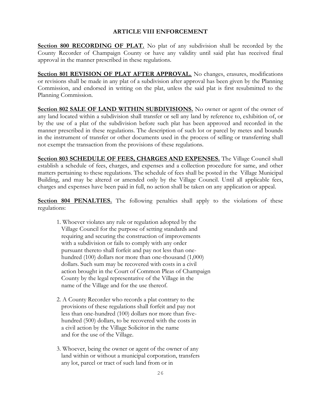#### **ARTICLE VIII ENFORCEMENT**

**Section 800 RECORDING OF PLAT.** No plat of any subdivision shall be recorded by the County Recorder of Champaign County or have any validity until said plat has received final approval in the manner prescribed in these regulations.

**Section 801 REVISION OF PLAT AFTER APPROVAL.** No changes, erasures, modifications or revisions shall be made in any plat of a subdivision after approval has been given by the Planning Commission, and endorsed in writing on the plat, unless the said plat is first resubmitted to the Planning Commission.

**Section 802 SALE OF LAND WITHIN SUBDIVISIONS.** No owner or agent of the owner of any land located within a subdivision shall transfer or sell any land by reference to, exhibition of, or by the use of a plat of the subdivision before such plat has been approved and recorded in the manner prescribed in these regulations. The description of such lot or parcel by metes and bounds in the instrument of transfer or other documents used in the process of selling or transferring shall not exempt the transaction from the provisions of these regulations.

**Section 803 SCHEDULE OF FEES, CHARGES AND EXPENSES.** The Village Council shall establish a schedule of fees, charges, and expenses and a collection procedure for same, and other matters pertaining to these regulations. The schedule of fees shall be posted in the Village Municipal Building, and may be altered or amended only by the Village Council. Until all applicable fees, charges and expenses have been paid in full, no action shall be taken on any application or appeal.

**Section 804 PENALTIES.** The following penalties shall apply to the violations of these regulations:

- 1. Whoever violates any rule or regulation adopted by the Village Council for the purpose of setting standards and requiring and securing the construction of improvements with a subdivision or fails to comply with any order pursuant thereto shall forfeit and pay not less than one hundred (100) dollars nor more than one-thousand (1,000) dollars. Such sum may be recovered with costs in a civil action brought in the Court of Common Pleas of Champaign County by the legal representative of the Village in the name of the Village and for the use thereof.
- 2. A County Recorder who records a plat contrary to the provisions of these regulations shall forfeit and pay not less than one-hundred (100) dollars nor more than five hundred (500) dollars, to be recovered with the costs in a civil action by the Village Solicitor in the name and for the use of the Village.
- 3. Whoever, being the owner or agent of the owner of any land within or without a municipal corporation, transfers any lot, parcel or tract of such land from or in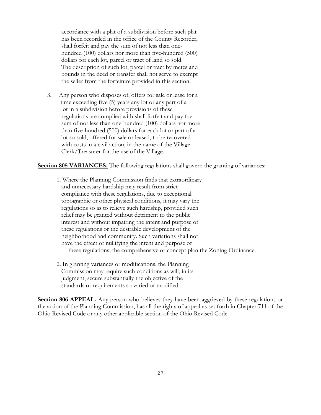accordance with a plat of a subdivision before such plat has been recorded in the office of the County Recorder, shall forfeit and pay the sum of not less than one hundred (100) dollars nor more than five-hundred (500) dollars for each lot, parcel or tract of land so sold. The description of such lot, parcel or tract by metes and bounds in the deed or transfer shall not serve to exempt the seller from the forfeiture provided in this section.

3. Any person who disposes of, offers for sale or lease for a time exceeding five (5) years any lot or any part of a lot in a subdivision before provisions of these regulations are complied with shall forfeit and pay the sum of not less than one-hundred (100) dollars nor more than five-hundred (500) dollars for each lot or part of a lot so sold, offered for sale or leased, to be recovered with costs in a civil action, in the name of the Village Clerk/Treasurer for the use of the Village.

**Section 805 VARIANCES.** The following regulations shall govern the granting of variances:

- 1. Where the Planning Commission finds that extraordinary and unnecessary hardship may result from strict compliance with these regulations, due to exceptional topographic or other physical conditions, it may vary the regulations so as to relieve such hardship, provided such relief may be granted without detriment to the public interest and without impairing the intent and purpose of these regulations or the desirable development of the neighborhood and community. Such variations shall not have the effect of nullifying the intent and purpose of these regulations, the comprehensive or concept plan the Zoning Ordinance.
- 2. In granting variances or modifications, the Planning Commission may require such conditions as will, in its judgment, secure substantially the objective of the standards or requirements so varied or modified.

**Section 806 APPEAL.** Any person who believes they have been aggrieved by these regulations or the action of the Planning Commission, has all the rights of appeal as set forth in Chapter 711 of the Ohio Revised Code or any other applicable section of the Ohio Revised Code.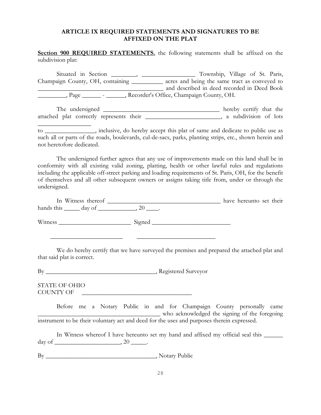#### **ARTICLE IX REQUIRED STATEMENTS AND SIGNATURES TO BE AFFIXED ON THE PLAT**

**Section 900 REQUIRED STATEMENTS.** the following statements shall be affixed on the subdivision plat:

Situated in Section \_\_\_\_\_\_, \_\_\_\_\_\_\_\_\_\_\_\_\_\_\_\_\_\_\_ Township, Village of St. Paris, Champaign County, OH, containing \_\_\_\_\_\_\_\_\_\_ acres and being the same tract as conveyed to \_\_\_\_\_\_\_\_\_\_\_\_\_\_\_\_\_\_\_\_\_\_\_\_\_\_\_\_\_\_\_\_\_\_\_\_\_\_\_\_ and described in deed recorded in Deed Book Page Recorder's Office, Champaign County, OH.

The undersigned \_\_\_\_\_\_\_\_\_\_\_\_\_\_\_\_\_\_\_\_\_\_\_\_\_\_\_\_\_\_\_\_\_\_\_\_\_ hereby certify that the attached plat correctly represents their \_\_\_\_\_\_\_\_\_\_\_\_\_\_\_\_\_\_\_\_\_\_\_, a subdivision of lots

to \_\_\_\_\_\_\_\_\_\_\_\_\_\_\_\_, inclusive, do hereby accept this plat of same and dedicate to public use as such all or parts of the roads, boulevards, cul-de-sacs, parks, planting strips, etc., shown herein and not heretofore dedicated.

The undersigned further agrees that any use of improvements made on this land shall be in conformity with all existing valid zoning, platting, health or other lawful rules and regulations including the applicable off-street parking and loading requirements of St. Paris, OH, for the benefit of themselves and all other subsequent owners or assigns taking title from, under or through the undersigned.

In Witness thereof \_\_\_\_\_\_\_\_\_\_\_\_\_\_\_\_\_\_\_\_\_\_\_\_\_\_\_\_\_\_\_\_\_\_ have hereunto set their hands this  $\_\_\_\_\$  day of  $\_\_\_\_\_\$ 

Witness \_\_\_\_\_\_\_\_\_\_\_\_\_\_\_\_\_\_\_\_\_\_\_ Signed \_\_\_\_\_\_\_\_\_\_\_\_\_\_\_\_\_\_\_\_\_\_\_\_\_

We do hereby certify that we have surveyed the premises and prepared the attached plat and that said plat is correct.

By By Registered Surveyor

 $\overline{\phantom{a}}$  ,  $\overline{\phantom{a}}$  ,  $\overline{\phantom{a}}$  ,  $\overline{\phantom{a}}$  ,  $\overline{\phantom{a}}$  ,  $\overline{\phantom{a}}$  ,  $\overline{\phantom{a}}$  ,  $\overline{\phantom{a}}$  ,  $\overline{\phantom{a}}$  ,  $\overline{\phantom{a}}$  ,  $\overline{\phantom{a}}$  ,  $\overline{\phantom{a}}$  ,  $\overline{\phantom{a}}$  ,  $\overline{\phantom{a}}$  ,  $\overline{\phantom{a}}$  ,  $\overline{\phantom{a}}$ 

STATE OF OHIO COUNTY OF \_\_\_\_\_\_\_\_\_\_\_\_\_\_\_\_\_\_\_\_\_\_\_\_\_\_\_\_\_\_\_\_\_\_\_

 $\frac{1}{2}$  ,  $\frac{1}{2}$  ,  $\frac{1}{2}$  ,  $\frac{1}{2}$  ,  $\frac{1}{2}$  ,  $\frac{1}{2}$  ,  $\frac{1}{2}$ 

Before me a Notary Public in and for Champaign County personally came who acknowledged the signing of the foregoing instrument to be their voluntary act and deed for the uses and purposes therein expressed.

In Witness whereof I have hereunto set my hand and affixed my official seal this \_\_\_\_\_\_\_\_\_ day of \_\_\_\_\_\_\_\_\_\_\_\_\_\_\_\_\_\_\_\_\_\_, 20 \_\_\_\_\_\_.

By \_\_\_\_\_\_\_\_\_\_\_\_\_\_\_\_\_\_\_\_\_\_\_\_\_\_\_\_\_\_\_\_\_\_\_, Notary Public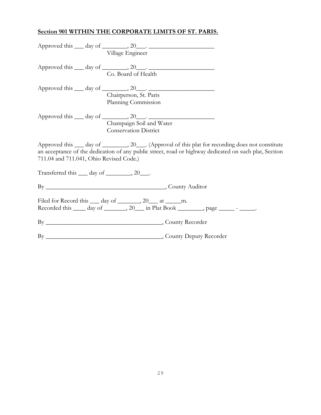# **Section 901 WITHIN THE CORPORATE LIMITS OF ST. PARIS.**

|                                                      | Village Engineer                                                                                                                                                                                                  |
|------------------------------------------------------|-------------------------------------------------------------------------------------------------------------------------------------------------------------------------------------------------------------------|
|                                                      | Approved this $\_\_$ day of $\_\_$ , 20 $\_\_$ .<br>Co. Board of Health                                                                                                                                           |
|                                                      |                                                                                                                                                                                                                   |
|                                                      | Approved this $\_\_$ day of $\_\_$ , 20 $\_\_$ .                                                                                                                                                                  |
|                                                      | Chairperson, St. Paris                                                                                                                                                                                            |
|                                                      | Planning Commission                                                                                                                                                                                               |
|                                                      | Approved this <u>quality day of a series of a series of a series of a</u>                                                                                                                                         |
|                                                      | Champaign Soil and Water                                                                                                                                                                                          |
|                                                      | <b>Conservation District</b>                                                                                                                                                                                      |
|                                                      |                                                                                                                                                                                                                   |
| 711.04 and 711.041, Ohio Revised Code.)              | Approved this <u>__</u> day of ________, 20___. (Approval of this plat for recording does not constitute<br>an acceptance of the dedication of any public street, road or highway dedicated on such plat, Section |
| Transferred this <u>___</u> day of ________, 20____. |                                                                                                                                                                                                                   |
|                                                      |                                                                                                                                                                                                                   |
|                                                      | Filed for Record this <u>day</u> of <u>equal</u> , 20 at m.<br>Recorded this <u>___</u> day of _______, 20___ in Plat Book ________, page ______- _____.                                                          |
|                                                      |                                                                                                                                                                                                                   |
|                                                      |                                                                                                                                                                                                                   |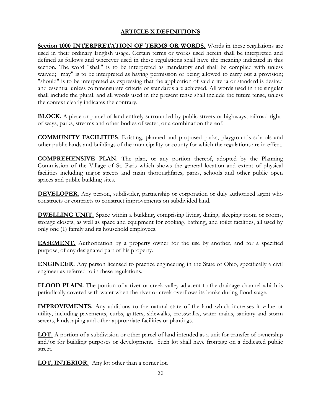## **ARTICLE X DEFINITIONS**

**Section 1000 INTERPRETATION OF TERMS OR WORDS.** Words in these regulations are used in their ordinary English usage. Certain terms or works used herein shall be interpreted and defined as follows and wherever used in these regulations shall have the meaning indicated in this section. The word "shall" is to be interpreted as mandatory and shall be complied with unless waived; "may" is to be interpreted as having permission or being allowed to carry out a provision; "should" is to be interpreted as expressing that the application of said criteria or standard is desired and essential unless commensurate criteria or standards are achieved. All words used in the singular shall include the plural, and all words used in the present tense shall include the future tense, unless the context clearly indicates the contrary.

**BLOCK.** A piece or parcel of land entirely surrounded by public streets or highways, railroad rightof-ways, parks, streams and other bodies of water, or a combination thereof.

**COMMUNITY FACILITIES**. Existing, planned and proposed parks, playgrounds schools and other public lands and buildings of the municipality or county for which the regulations are in effect.

**COMPREHENSIVE PLAN.** The plan, or any portion thereof, adopted by the Planning Commission of the Village of St. Paris which shows the general location and extent of physical facilities including major streets and main thoroughfares, parks, schools and other public open spaces and public building sites.

**DEVELOPER.** Any person, subdivider, partnership or corporation or duly authorized agent who constructs or contracts to construct improvements on subdivided land.

**DWELLING UNIT.** Space within a building, comprising living, dining, sleeping room or rooms, storage closets, as well as space and equipment for cooking, bathing, and toilet facilities, all used by only one (1) family and its household employees.

**EASEMENT.** Authorization by a property owner for the use by another, and for a specified purpose, of any designated part of his property.

**ENGINEER.** Any person licensed to practice engineering in the State of Ohio, specifically a civil engineer as referred to in these regulations.

**FLOOD PLAIN.** The portion of a river or creek valley adjacent to the drainage channel which is periodically covered with water when the river or creek overflows its banks during flood stage.

**IMPROVEMENTS.** Any additions to the natural state of the land which increases it value or utility, including pavements, curbs, gutters, sidewalks, crosswalks, water mains, sanitary and storm sewers, landscaping and other appropriate facilities or plantings.

**LOT.** A portion of a subdivision or other parcel of land intended as a unit for transfer of ownership and/or for building purposes or development. Such lot shall have frontage on a dedicated public street.

**LOT, INTERIOR.** Any lot other than a corner lot.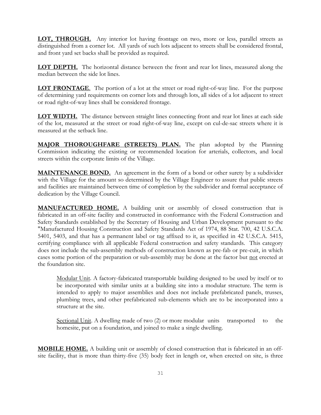**LOT, THROUGH.** Any interior lot having frontage on two, more or less, parallel streets as distinguished from a corner lot. All yards of such lots adjacent to streets shall be considered frontal, and front yard set backs shall be provided as required.

**LOT DEPTH.** The horizontal distance between the front and rear lot lines, measured along the median between the side lot lines.

**LOT FRONTAGE**. The portion of a lot at the street or road right-of-way line. For the purpose of determining yard requirements on corner lots and through lots, all sides of a lot adjacent to street or road right-of-way lines shall be considered frontage.

**LOT WIDTH.** The distance between straight lines connecting front and rear lot lines at each side of the lot, measured at the street or road right-of-way line, except on cul-de-sac streets where it is measured at the setback line.

**MAJOR THOROUGHFARE (STREETS) PLAN.** The plan adopted by the Planning Commission indicating the existing or recommended location for arterials, collectors, and local streets within the corporate limits of the Village.

**MAINTENANCE BOND.** An agreement in the form of a bond or other surety by a subdivider with the Village for the amount so determined by the Village Engineer to assure that public streets and facilities are maintained between time of completion by the subdivider and formal acceptance of dedication by the Village Council.

**MANUFACTURED HOME.** A building unit or assembly of closed construction that is fabricated in an off-site facility and constructed in conformance with the Federal Construction and Safety Standards established by the Secretary of Housing and Urban Development pursuant to the "Manufactured Housing Construction and Safety Standards Act of 1974, 88 Stat. 700, 42 U.S.C.A. 5401, 5403, and that has a permanent label or tag affixed to it, as specified in 42 U.S.C.A. 5415, certifying compliance with all applicable Federal construction and safety standards. This category does not include the sub-assembly methods of construction known as pre-fab or pre-cuit, in which cases some portion of the preparation or sub-assembly may be done at the factor but not erected at the foundation site.

Modular Unit. A factory-fabricated transportable building designed to be used by itself or to be incorporated with similar units at a building site into a modular structure. The term is intended to apply to major assemblies and does not include prefabricated panels, trusses, plumbing trees, and other prefabricated sub-elements which are to be incorporated into a structure at the site.

Sectional Unit. A dwelling made of two (2) or more modular units transported to the homesite, put on a foundation, and joined to make a single dwelling.

**MOBILE HOME.** A building unit or assembly of closed construction that is fabricated in an offsite facility, that is more than thirty-five (35) body feet in length or, when erected on site, is three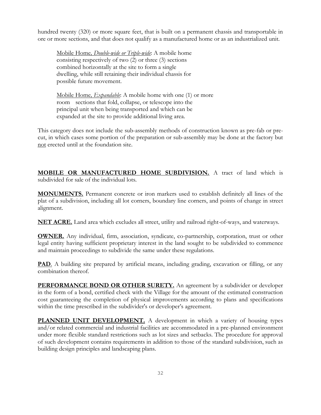hundred twenty (320) or more square feet, that is built on a permanent chassis and transportable in ore or more sections, and that does not qualify as a manufactured home or as an industrialized unit.

Mobile Home*, Double-wide or Triple-wide*: A mobile home consisting respectively of two (2) or three (3) sections combined horizontally at the site to form a single dwelling, while still retaining their individual chassis for possible future movement.

Mobile Home*, Expandable*: A mobile home with one (1) or more room sections that fold, collapse, or telescope into the principal unit when being transported and which can be expanded at the site to provide additional living area.

This category does not include the sub-assembly methods of construction known as pre-fab or precut, in which cases some portion of the preparation or sub-assembly may be done at the factory but not erected until at the foundation site.

**MOBILE OR MANUFACTURED HOME SUBDIVISION.** A tract of land which is subdivided for sale of the individual lots.

**MONUMENTS.** Permanent concrete or iron markers used to establish definitely all lines of the plat of a subdivision, including all lot corners, boundary line corners, and points of change in street alignment.

**NET ACRE.** Land area which excludes all street, utility and railroad right-of-ways, and waterways.

**OWNER.** Any individual, firm, association, syndicate, co-partnership, corporation, trust or other legal entity having sufficient proprietary interest in the land sought to be subdivided to commence and maintain proceedings to subdivide the same under these regulations.

**PAD**. A building site prepared by artificial means, including grading, excavation or filling, or any combination thereof.

**PERFORMANCE BOND OR OTHER SURETY.** An agreement by a subdivider or developer in the form of a bond, certified check with the Village for the amount of the estimated construction cost guaranteeing the completion of physical improvements according to plans and specifications within the time prescribed in the subdivider's or developer's agreement.

**PLANNED UNIT DEVELOPMENT.** A development in which a variety of housing types and/or related commercial and industrial facilities are accommodated in a pre-planned environment under more flexible standard restrictions such as lot sizes and setbacks. The procedure for approval of such development contains requirements in addition to those of the standard subdivision, such as building design principles and landscaping plans.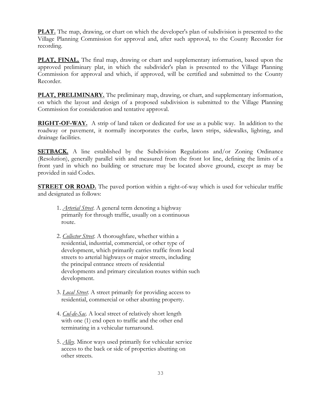**PLAT.** The map, drawing, or chart on which the developer's plan of subdivision is presented to the Village Planning Commission for approval and, after such approval, to the County Recorder for recording.

**PLAT, FINAL.** The final map, drawing or chart and supplementary information, based upon the approved preliminary plat, in which the subdivider's plan is presented to the Village Planning Commission for approval and which, if approved, will be certified and submitted to the County Recorder.

**PLAT, PRELIMINARY.** The preliminary map, drawing, or chart, and supplementary information, on which the layout and design of a proposed subdivision is submitted to the Village Planning Commission for consideration and tentative approval.

**RIGHT-OF-WAY.** A strip of land taken or dedicated for use as a public way. In addition to the roadway or pavement, it normally incorporates the curbs, lawn strips, sidewalks, lighting, and drainage facilities.

**SETBACK.** A line established by the Subdivision Regulations and/or Zoning Ordinance (Resolution), generally parallel with and measured from the front lot line, defining the limits of a front yard in which no building or structure may be located above ground, except as may be provided in said Codes.

**STREET OR ROAD.** The paved portion within a right-of-way which is used for vehicular traffic and designated as follows:

- 1. *Arterial Street*. A general term denoting a highway primarily for through traffic, usually on a continuous route.
- 2. *Collector Street*. A thoroughfare, whether within a residential, industrial, commercial, or other type of development, which primarily carries traffic from local streets to arterial highways or major streets, including the principal entrance streets of residential developments and primary circulation routes within such development.
- 3. *Local Street*. A street primarily for providing access to residential, commercial or other abutting property.
- 4. *Cul-de-Sac*. A local street of relatively short length with one (1) end open to traffic and the other end terminating in a vehicular turnaround.
- 5. *Alley*. Minor ways used primarily for vehicular service access to the back or side of properties abutting on other streets.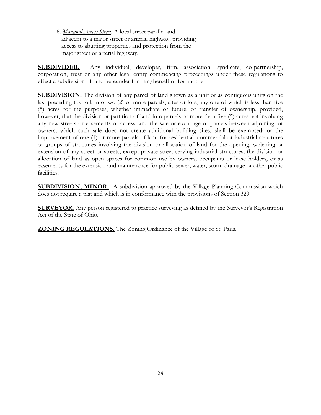6. *Marginal Access Street*. A local street parallel and adjacent to a major street or arterial highway, providing access to abutting properties and protection from the major street or arterial highway.

**SUBDIVIDER.** Any individual, developer, firm, association, syndicate, co-partnership, corporation, trust or any other legal entity commencing proceedings under these regulations to effect a subdivision of land hereunder for him/herself or for another.

**SUBDIVISION.** The division of any parcel of land shown as a unit or as contiguous units on the last preceding tax roll, into two (2) or more parcels, sites or lots, any one of which is less than five (5) acres for the purposes, whether immediate or future, of transfer of ownership, provided, however, that the division or partition of land into parcels or more than five (5) acres not involving any new streets or easements of access, and the sale or exchange of parcels between adjoining lot owners, which such sale does not create additional building sites, shall be exempted; or the improvement of one (1) or more parcels of land for residential, commercial or industrial structures or groups of structures involving the division or allocation of land for the opening, widening or extension of any street or streets, except private street serving industrial structures; the division or allocation of land as open spaces for common use by owners, occupants or lease holders, or as easements for the extension and maintenance for public sewer, water, storm drainage or other public facilities.

**SUBDIVISION, MINOR.** A subdivision approved by the Village Planning Commission which does not require a plat and which is in conformance with the provisions of Section 329.

**SURVEYOR.** Any person registered to practice surveying as defined by the Surveyor's Registration Act of the State of Ohio.

**ZONING REGULATIONS.** The Zoning Ordinance of the Village of St. Paris.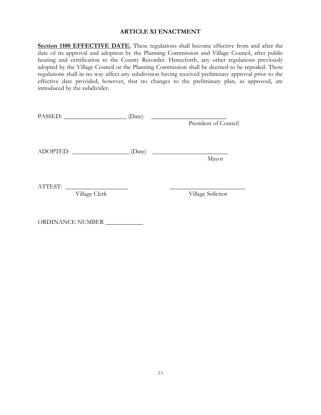#### **ARTICLE XI ENACTMENT**

**Section 1100 EFFECTIVE DATE.** These regulations shall become effective from and after the date of its approval and adoption by the Planning Commission and Village Council, after public hearing and certification to the County Recorder. Henceforth, any other regulations previously adopted by the Village Council or the Planning Commission shall be deemed to be repealed. These regulations shall in no way affect any subdivision having received preliminary approval prior to the effective date provided, however, that no changes to the preliminary plan, as approved, are introduced by the subdivider.

| PASSED:       | (Date) |                                                       |
|---------------|--------|-------------------------------------------------------|
|               |        | President of Council                                  |
|               |        |                                                       |
|               |        |                                                       |
| ADOPTED:      | (Date) | <u> 1989 - Johann Stoff, fransk politik (d. 1989)</u> |
|               |        | Mayor                                                 |
|               |        |                                                       |
|               |        |                                                       |
| ATTEST:       |        |                                                       |
| Village Clerk |        | Village Solicitor                                     |
|               |        |                                                       |

ORDINANCE NUMBER \_\_\_\_\_\_\_\_\_\_\_\_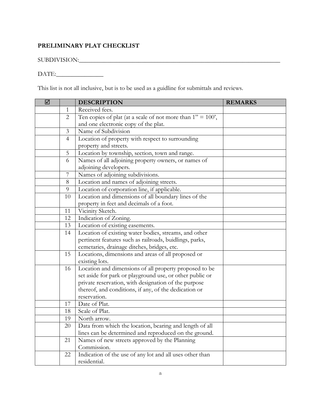# **PRELIMINARY PLAT CHECKLIST**

## SUBDIVISION:\_\_\_\_\_\_\_\_\_\_\_\_\_\_\_\_\_\_\_\_\_\_\_\_\_\_\_\_\_\_\_\_\_\_\_\_\_\_\_\_\_\_\_\_\_\_\_\_\_\_\_\_\_\_\_\_\_\_\_\_\_\_\_\_

## DATE:\_\_\_\_\_\_\_\_\_\_\_\_\_\_\_

This list is not all inclusive, but is to be used as a guidline for submittals and reviews.

| ☑ |                | <b>DESCRIPTION</b>                                             | <b>REMARKS</b> |
|---|----------------|----------------------------------------------------------------|----------------|
|   | 1              | Received fees.                                                 |                |
|   | $\overline{2}$ | Ten copies of plat (at a scale of not more than $1'' = 100'$ , |                |
|   |                | and one electronic copy of the plat.                           |                |
|   | $\mathfrak{Z}$ | Name of Subdivision                                            |                |
|   | $\overline{4}$ | Location of property with respect to surrounding               |                |
|   |                | property and streets.                                          |                |
|   | 5              | Location by township, section, town and range.                 |                |
|   | 6              | Names of all adjoining property owners, or names of            |                |
|   |                | adjoining developers.                                          |                |
|   | 7              | Names of adjoining subdivisions.                               |                |
|   | 8              | Location and names of adjoining streets.                       |                |
|   | 9              | Location of corporation line, if applicable.                   |                |
|   | 10             | Location and dimensions of all boundary lines of the           |                |
|   |                | property in feet and decimals of a foot.                       |                |
|   | 11             | Vicinity Sketch.                                               |                |
|   | 12             | Indication of Zoning.                                          |                |
|   | 13             | Location of existing easements.                                |                |
|   | 14             | Location of existing water bodies, streams, and other          |                |
|   |                | pertinent features such as railroads, buidlings, parks,        |                |
|   |                | cemetaries, drainage ditches, bridges, etc.                    |                |
|   | 15             | Locations, dimensions and areas of all proposed or             |                |
|   |                | existing lots.                                                 |                |
|   | 16             | Location and dimensions of all property proposed to be         |                |
|   |                | set aside for park or playground use, or other public or       |                |
|   |                | private reservation, with designation of the purpose           |                |
|   |                | thereof, and conditions, if any, of the dedication or          |                |
|   |                | reservation.                                                   |                |
|   | 17             | Date of Plat.                                                  |                |
|   | 18             | Scale of Plat.                                                 |                |
|   | 19             | North arrow.                                                   |                |
|   | 20             | Data from which the location, bearing and length of all        |                |
|   |                | lines can be determined and reproduced on the ground.          |                |
|   | 21             | Names of new streets approved by the Planning                  |                |
|   |                | Commission.                                                    |                |
|   | 22             | Indication of the use of any lot and all uses other than       |                |
|   |                | residential.                                                   |                |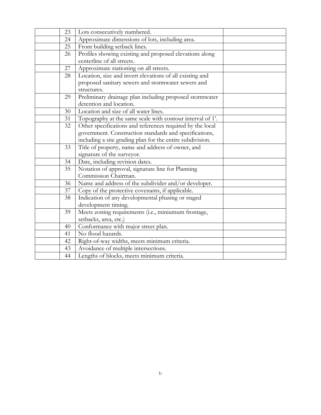| 23 | Lots consecutively numbered.                              |  |
|----|-----------------------------------------------------------|--|
| 24 | Approximate dimensions of lots, including area.           |  |
| 25 | Front building setback lines.                             |  |
| 26 | Profiles showing existing and proposed elevations along   |  |
|    | centerline of all streets.                                |  |
| 27 | Approximate stationing on all streets.                    |  |
| 28 | Location, size and invert elevations of all existing and  |  |
|    | proposed sanitary sewers and stormwater sewers and        |  |
|    | structures.                                               |  |
| 29 | Preliminary drainage plan including proposed stormwater   |  |
|    | detention and location.                                   |  |
| 30 | Location and size of all water lines.                     |  |
| 31 | Topography at the same scale with contour interval of 1'. |  |
| 32 | Other specifications and references required by the local |  |
|    | government. Construction standards and specifications,    |  |
|    | including a site grading plan for the entire subdivision. |  |
| 33 | Title of property, name and address of owner, and         |  |
|    | signature of the surveyor.                                |  |
| 34 | Date, including revision dates.                           |  |
| 35 | Notation of approval, signature line for Planning         |  |
|    | Commission Chairman.                                      |  |
| 36 | Name and address of the subdivider and/or developer.      |  |
| 37 | Copy of the protective covenants, if applicable.          |  |
| 38 | Indication of any developmental phasing or staged         |  |
|    | development timing.                                       |  |
| 39 | Meets zoning requirements (i.e., miniumum frontage,       |  |
|    | setbacks, area, etc.)                                     |  |
| 40 | Conformance with major street plan.                       |  |
| 41 | No flood hazards.                                         |  |
| 42 | Right-of-way widths, meets minimum criteria.              |  |
| 43 | Avoidance of multiple intersections.                      |  |
| 44 | Lengths of blocks, meets minimum criteria.                |  |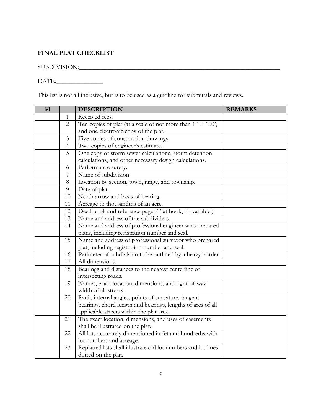## **FINAL PLAT CHECKLIST**

SUBDIVISION:\_\_\_\_\_\_\_\_\_\_\_\_\_\_\_\_\_\_\_\_\_\_\_\_\_\_\_\_\_\_\_\_\_\_\_\_\_\_\_\_\_\_\_\_\_\_\_\_\_\_\_\_\_\_\_\_\_\_\_\_\_\_\_\_

DATE:\_\_\_\_\_\_\_\_\_\_\_\_\_\_\_

This list is not all inclusive, but is to be used as a guidline for submittals and reviews.

| ☑ |                | <b>DESCRIPTION</b>                                              | <b>REMARKS</b> |
|---|----------------|-----------------------------------------------------------------|----------------|
|   | 1              | Received fees.                                                  |                |
|   | $\overline{2}$ | Ten copies of plat (at a scale of not more than $1'' = 100'$ ), |                |
|   |                | and one electronic copy of the plat.                            |                |
|   | 3              | Five copies of construction drawings.                           |                |
|   | $\overline{4}$ | Two copies of engineer's estimate.                              |                |
|   | 5              | One copy of storm sewer calculations, storm detention           |                |
|   |                | calculations, and other necessary design calculations.          |                |
|   | 6              | Performance surety.                                             |                |
|   | 7              | Name of subdivision.                                            |                |
|   | 8              | Location by section, town, range, and township.                 |                |
|   | 9              | Date of plat.                                                   |                |
|   | 10             | North arrow and basis of bearing.                               |                |
|   | 11             | Acreage to thousandths of an acre.                              |                |
|   | 12             | Deed book and reference page. (Plat book, if available.)        |                |
|   | 13             | Name and address of the subdividers.                            |                |
|   | 14             | Name and address of professional engineer who prepared          |                |
|   |                | plans, including registration number and seal.                  |                |
|   | 15             | Name and address of professional surveyor who prepared          |                |
|   |                | plat, including registration number and seal.                   |                |
|   | 16             | Perimeter of subdivision to be outlined by a heavy border.      |                |
|   | 17             | All dimensions.                                                 |                |
|   | 18             | Bearings and distances to the nearest centerline of             |                |
|   |                | intersecting roads.                                             |                |
|   | 19             | Names, exact location, dimensions, and right-of-way             |                |
|   |                | width of all streets.                                           |                |
|   | 20             | Radii, internal angles, points of curvature, tangent            |                |
|   |                | bearings, chord length and bearings, lengths of arcs of all     |                |
|   |                | applicable streets within the plat area.                        |                |
|   | 21             | The exact location, dimensions, and uses of easements           |                |
|   |                | shall be illustrated on the plat.                               |                |
|   | 22             | All lots accurately dimensioned in fet and hundreths with       |                |
|   |                | lot numbers and acreage.                                        |                |
|   | 23             | Replatted lots shall illustrate old lot numbers and lot lines   |                |
|   |                | dotted on the plat.                                             |                |